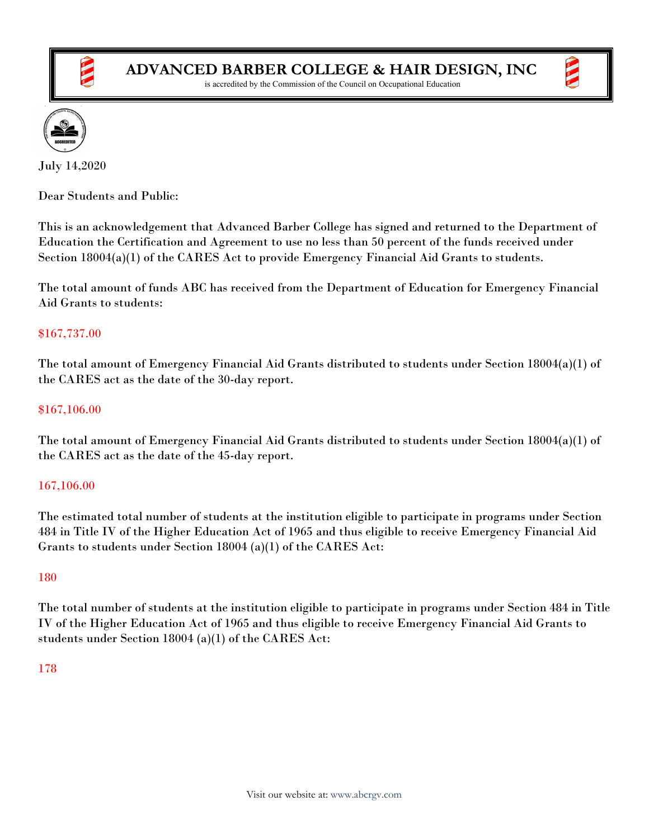

is accredited by the Commission of the Council on Occupational Education



July 14,2020

Dear Students and Public:

This is an acknowledgement that Advanced Barber College has signed and returned to the Department of Education the Certification and Agreement to use no less than 50 percent of the funds received under Section 18004(a)(1) of the CARES Act to provide Emergency Financial Aid Grants to students.

The total amount of funds ABC has received from the Department of Education for Emergency Financial Aid Grants to students:

## \$167,737.00

The total amount of Emergency Financial Aid Grants distributed to students under Section 18004(a)(1) of the CARES act as the date of the 30-day report.

### \$167,106.00

The total amount of Emergency Financial Aid Grants distributed to students under Section 18004(a)(1) of the CARES act as the date of the 45-day report.

# 167,106.00

The estimated total number of students at the institution eligible to participate in programs under Section 484 in Title IV of the Higher Education Act of 1965 and thus eligible to receive Emergency Financial Aid Grants to students under Section 18004 (a)(1) of the CARES Act:

### 180

The total number of students at the institution eligible to participate in programs under Section 484 in Title IV of the Higher Education Act of 1965 and thus eligible to receive Emergency Financial Aid Grants to students under Section 18004 (a)(1) of the CARES Act:

### 178